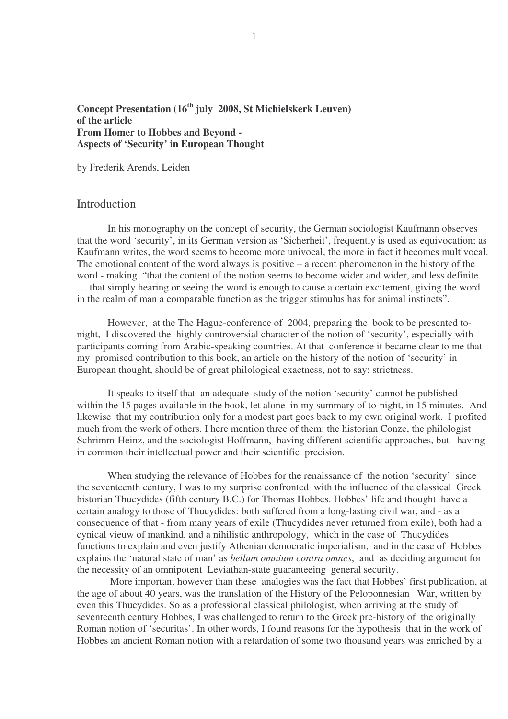## **Concept Presentation (16 th july 2008, St Michielskerk Leuven) of the article From Homer to Hobbes and Beyond - Aspects of 'Security' in European Thought**

by Frederik Arends, Leiden

## Introduction

In his monography on the concept of security, the German sociologist Kaufmann observes that the word 'security', in its German version as 'Sicherheit', frequently is used as equivocation; as Kaufmann writes, the word seems to become more univocal, the more in fact it becomes multivocal. The emotional content of the word always is positive – a recent phenomenon in the history of the word - making "that the content of the notion seems to become wider and wider, and less definite … that simply hearing or seeing the word is enough to cause a certain excitement, giving the word in the realm of man a comparable function as the trigger stimulus has for animal instincts".

However, at the The Hague-conference of 2004, preparing the book to be presented tonight, I discovered the highly controversial character of the notion of 'security', especially with participants coming from Arabic-speaking countries. At that conference it became clear to me that my promised contribution to this book, an article on the history of the notion of 'security' in European thought, should be of great philological exactness, not to say: strictness.

It speaks to itself that an adequate study of the notion 'security' cannot be published within the 15 pages available in the book, let alone in my summary of to-night, in 15 minutes. And likewise that my contribution only for a modest part goes back to my own original work. I profited much from the work of others. I here mention three of them: the historian Conze, the philologist Schrimm-Heinz, and the sociologist Hoffmann, having different scientific approaches, but having in common their intellectual power and their scientific precision.

When studying the relevance of Hobbes for the renaissance of the notion 'security' since the seventeenth century, I was to my surprise confronted with the influence of the classical Greek historian Thucydides (fifth century B.C.) for Thomas Hobbes. Hobbes' life and thought have a certain analogy to those of Thucydides: both suffered from a long-lasting civil war, and - as a consequence of that - from many years of exile (Thucydides never returned from exile), both had a cynical vieuw of mankind, and a nihilistic anthropology, which in the case of Thucydides functions to explain and even justify Athenian democratic imperialism, and in the case of Hobbes explains the 'natural state of man' as *bellum omnium contra omnes*, and as deciding argument for the necessity of an omnipotent Leviathan-state guaranteeing general security.

More important however than these analogies was the fact that Hobbes' first publication, at the age of about 40 years, was the translation of the History of the Peloponnesian War, written by even this Thucydides. So as a professional classical philologist, when arriving at the study of seventeenth century Hobbes, I was challenged to return to the Greek pre-history of the originally Roman notion of 'securitas'. In other words, I found reasons for the hypothesis that in the work of Hobbes an ancient Roman notion with a retardation of some two thousand years was enriched by a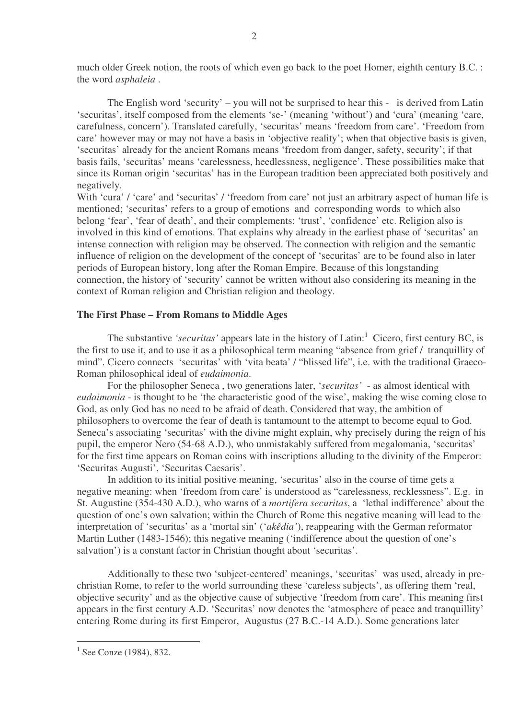much older Greek notion, the roots of which even go back to the poet Homer, eighth century B.C. : the word *asphaleia* .

The English word 'security' – you will not be surprised to hear this - is derived from Latin 'securitas', itself composed from the elements 'se-' (meaning 'without') and 'cura' (meaning 'care, carefulness, concern'). Translated carefully, 'securitas' means 'freedom from care'. 'Freedom from care' however may or may not have a basis in 'objective reality'; when that objective basis is given, 'securitas' already for the ancient Romans means 'freedom from danger, safety, security'; if that basis fails, 'securitas' means 'carelessness, heedlessness, negligence'. These possibilities make that since its Roman origin 'securitas' has in the European tradition been appreciated both positively and negatively.

With 'cura' / 'care' and 'securitas' / 'freedom from care' not just an arbitrary aspect of human life is mentioned; 'securitas' refers to a group of emotions and corresponding words to which also belong 'fear', 'fear of death', and their complements: 'trust', 'confidence' etc. Religion also is involved in this kind of emotions. That explains why already in the earliest phase of 'securitas' an intense connection with religion may be observed. The connection with religion and the semantic influence of religion on the development of the concept of 'securitas' are to be found also in later periods of European history, long after the Roman Empire. Because of this longstanding connection, the history of 'security' cannot be written without also considering its meaning in the context of Roman religion and Christian religion and theology.

#### **The First Phase – From Romans to Middle Ages**

The substantive *'securitas'* appears late in the history of Latin: <sup>1</sup> Cicero, first century BC, is the first to use it, and to use it as a philosophical term meaning "absence from grief / tranquillity of mind". Cicero connects 'securitas' with 'vita beata' / "blissed life", i.e. with the traditional Graeco-Roman philosophical ideal of *eudaimonia*.

For the philosopher Seneca , two generations later, '*securitas'* - as almost identical with *eudaimonia* - is thought to be 'the characteristic good of the wise', making the wise coming close to God, as only God has no need to be afraid of death. Considered that way, the ambition of philosophers to overcome the fear of death is tantamount to the attempt to become equal to God. Seneca's associating 'securitas' with the divine might explain, why precisely during the reign of his pupil, the emperor Nero (54-68 A.D.), who unmistakably suffered from megalomania, 'securitas' for the first time appears on Roman coins with inscriptions alluding to the divinity of the Emperor: 'Securitas Augusti', 'Securitas Caesaris'.

In addition to its initial positive meaning, 'securitas' also in the course of time gets a negative meaning: when 'freedom from care' is understood as "carelessness, recklessness". E.g. in St. Augustine (354-430 A.D.), who warns of a *mortifera securitas*, a 'lethal indifference' about the question of one's own salvation; within the Church of Rome this negative meaning will lead to the interpretation of 'securitas' as a 'mortal sin' ('*akêdia'*), reappearing with the German reformator Martin Luther (1483-1546); this negative meaning ('indifference about the question of one's salvation') is a constant factor in Christian thought about 'securitas'.

Additionally to these two 'subject-centered' meanings, 'securitas' was used, already in prechristian Rome, to refer to the world surrounding these 'careless subjects', as offering them 'real, objective security' and as the objective cause of subjective 'freedom from care'. This meaning first appears in the first century A.D. 'Securitas' now denotes the 'atmosphere of peace and tranquillity' entering Rome during its first Emperor, Augustus (27 B.C.-14 A.D.). Some generations later

2

 $1$  See Conze (1984), 832.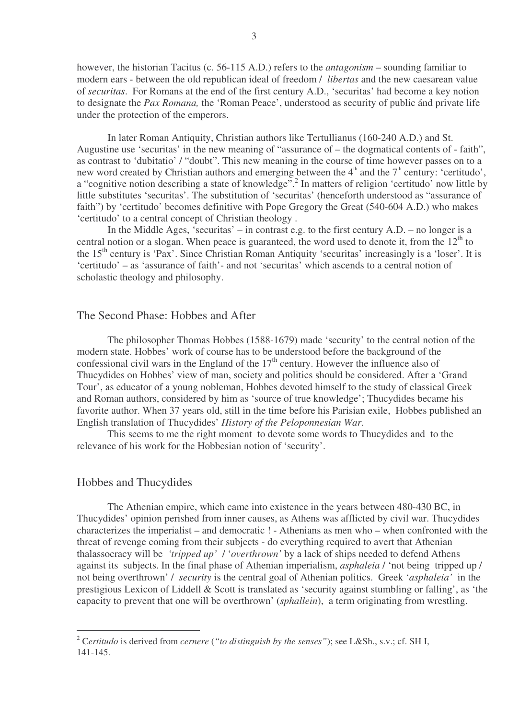however, the historian Tacitus (c. 56-115 A.D.) refers to the *antagonism* – sounding familiar to modern ears - between the old republican ideal of freedom / *libertas* and the new caesarean value of *securitas*. For Romans at the end of the first century A.D., 'securitas' had become a key notion to designate the *Pax Romana,* the 'Roman Peace', understood as security of public ánd private life under the protection of the emperors.

In later Roman Antiquity, Christian authors like Tertullianus (160-240 A.D.) and St. Augustine use 'securitas' in the new meaning of "assurance of – the dogmatical contents of - faith", as contrast to 'dubitatio' / "doubt". This new meaning in the course of time however passes on to a new word created by Christian authors and emerging between the  $4<sup>th</sup>$  and the  $7<sup>th</sup>$  century: 'certitudo', a "cognitive notion describing a state of knowledge".<sup>2</sup> In matters of religion 'certitudo' now little by little substitutes 'securitas'. The substitution of 'securitas' (henceforth understood as "assurance of faith") by 'certitudo' becomes definitive with Pope Gregory the Great (540-604 A.D.) who makes 'certitudo' to a central concept of Christian theology .

In the Middle Ages, 'securitas' – in contrast e.g. to the first century A.D. – no longer is a central notion or a slogan. When peace is guaranteed, the word used to denote it, from the  $12<sup>th</sup>$  to the 15<sup>th</sup> century is 'Pax'. Since Christian Roman Antiquity 'securitas' increasingly is a 'loser'. It is 'certitudo' – as 'assurance of faith'- and not 'securitas' which ascends to a central notion of scholastic theology and philosophy.

### The Second Phase: Hobbes and After

The philosopher Thomas Hobbes (1588-1679) made 'security' to the central notion of the modern state. Hobbes' work of course has to be understood before the background of the confessional civil wars in the England of the  $17<sup>th</sup>$  century. However the influence also of Thucydides on Hobbes' view of man, society and politics should be considered. After a 'Grand Tour', as educator of a young nobleman, Hobbes devoted himself to the study of classical Greek and Roman authors, considered by him as 'source of true knowledge'; Thucydides became his favorite author. When 37 years old, still in the time before his Parisian exile, Hobbes published an English translation of Thucydides' *History of the Peloponnesian War*.

This seems to me the right moment to devote some words to Thucydides and to the relevance of his work for the Hobbesian notion of 'security'.

### Hobbes and Thucydides

The Athenian empire, which came into existence in the years between 480-430 BC, in Thucydides' opinion perished from inner causes, as Athens was afflicted by civil war. Thucydides characterizes the imperialist – and democratic ! - Athenians as men who – when confronted with the threat of revenge coming from their subjects - do everything required to avert that Athenian thalassocracy will be *'tripped up'* / '*overthrown'* by a lack of ships needed to defend Athens against its subjects. In the final phase of Athenian imperialism, *asphaleia* / 'not being tripped up / not being overthrown' / *security* is the central goal of Athenian politics. Greek '*asphaleia'* in the prestigious Lexicon of Liddell & Scott is translated as 'security against stumbling or falling', as 'the capacity to prevent that one will be overthrown' (*sphallein*), a term originating from wrestling.

<sup>2</sup> C*ertitudo* is derived from *cernere* (*"to distinguish by the senses"*); see L&Sh., s.v.; cf. SH I, 141-145.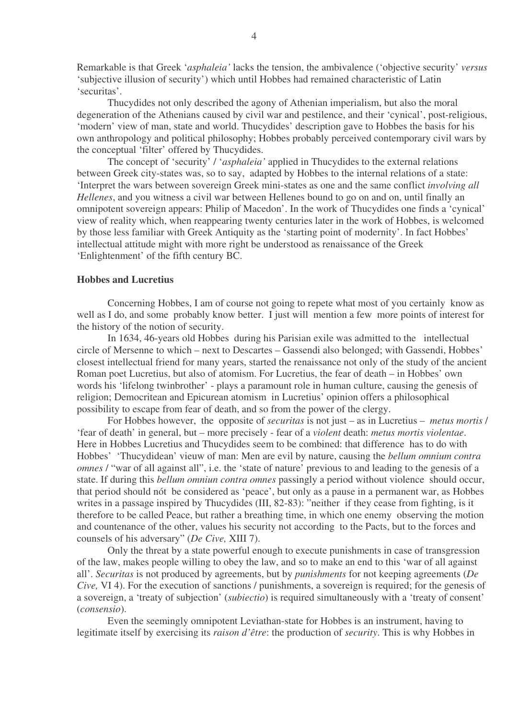Remarkable is that Greek '*asphaleia'* lacks the tension, the ambivalence ('objective security' *versus* 'subjective illusion of security') which until Hobbes had remained characteristic of Latin 'securitas'.

Thucydides not only described the agony of Athenian imperialism, but also the moral degeneration of the Athenians caused by civil war and pestilence, and their 'cynical', post-religious, 'modern' view of man, state and world. Thucydides' description gave to Hobbes the basis for his own anthropology and political philosophy; Hobbes probably perceived contemporary civil wars by the conceptual 'filter' offered by Thucydides.

The concept of 'security' / '*asphaleia'* applied in Thucydides to the external relations between Greek city-states was, so to say, adapted by Hobbes to the internal relations of a state: 'Interpret the wars between sovereign Greek mini-states as one and the same conflict *involving all Hellenes*, and you witness a civil war between Hellenes bound to go on and on, until finally an omnipotent sovereign appears: Philip of Macedon'. In the work of Thucydides one finds a 'cynical' view of reality which, when reappearing twenty centuries later in the work of Hobbes, is welcomed by those less familiar with Greek Antiquity as the 'starting point of modernity'. In fact Hobbes' intellectual attitude might with more right be understood as renaissance of the Greek 'Enlightenment' of the fifth century BC.

#### **Hobbes and Lucretius**

Concerning Hobbes, I am of course not going to repete what most of you certainly know as well as I do, and some probably know better. I just will mention a few more points of interest for the history of the notion of security.

In 1634, 46-years old Hobbes during his Parisian exile was admitted to the intellectual circle of Mersenne to which – next to Descartes – Gassendi also belonged; with Gassendi, Hobbes' closest intellectual friend for many years, started the renaissance not only of the study of the ancient Roman poet Lucretius, but also of atomism. For Lucretius, the fear of death – in Hobbes' own words his 'lifelong twinbrother' - plays a paramount role in human culture, causing the genesis of religion; Democritean and Epicurean atomism in Lucretius' opinion offers a philosophical possibility to escape from fear of death, and so from the power of the clergy.

For Hobbes however, the opposite of *securitas* is not just – as in Lucretius – *metus mortis* / 'fear of death' in general, but – more precisely - fear of a *violent* death: *metus mortis violentae*. Here in Hobbes Lucretius and Thucydides seem to be combined: that difference has to do with Hobbes' 'Thucydidean' vieuw of man: Men are evil by nature, causing the *bellum omnium contra omnes* / "war of all against all", i.e. the 'state of nature' previous to and leading to the genesis of a state. If during this *bellum omniun contra omnes* passingly a period without violence should occur, that period should nót be considered as 'peace', but only as a pause in a permanent war, as Hobbes writes in a passage inspired by Thucydides (III, 82-83): "neither if they cease from fighting, is it therefore to be called Peace, but rather a breathing time, in which one enemy observing the motion and countenance of the other, values his security not according to the Pacts, but to the forces and counsels of his adversary" (*De Cive,* XIII 7).

Only the threat by a state powerful enough to execute punishments in case of transgression of the law, makes people willing to obey the law, and so to make an end to this 'war of all against all'. *Securitas* is not produced by agreements, but by *punishments* for not keeping agreements (*De Cive,* VI 4). For the execution of sanctions / punishments, a sovereign is required; for the genesis of a sovereign, a 'treaty of subjection' (*subiectio*) is required simultaneously with a 'treaty of consent' (*consensio*).

Even the seemingly omnipotent Leviathan-state for Hobbes is an instrument, having to legitimate itself by exercising its *raison d'être*: the production of *security*. This is why Hobbes in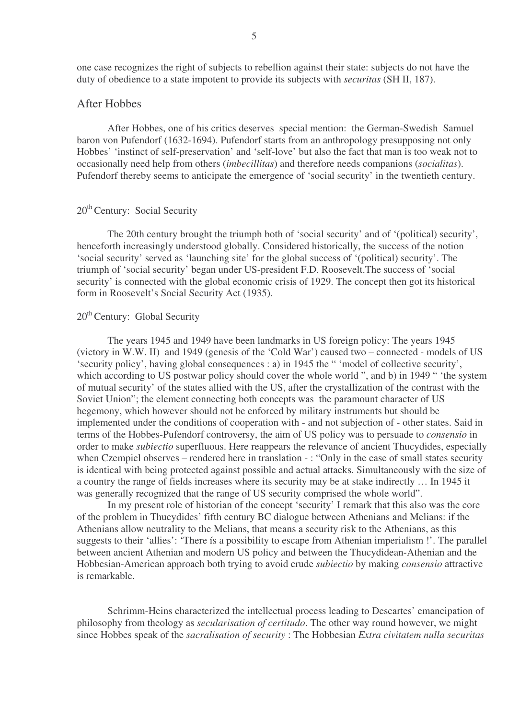one case recognizes the right of subjects to rebellion against their state: subjects do not have the duty of obedience to a state impotent to provide its subjects with *securitas* (SH II, 187).

#### After Hobbes

After Hobbes, one of his critics deserves special mention: the German-Swedish Samuel baron von Pufendorf (1632-1694). Pufendorf starts from an anthropology presupposing not only Hobbes' 'instinct of self-preservation' and 'self-love' but also the fact that man is too weak not to occasionally need help from others (*imbecillitas*) and therefore needs companions (*socialitas*). Pufendorf thereby seems to anticipate the emergence of 'social security' in the twentieth century.

# 20<sup>th</sup> Century: Social Security

The 20th century brought the triumph both of 'social security' and of '(political) security', henceforth increasingly understood globally. Considered historically, the success of the notion 'social security' served as 'launching site' for the global success of '(political) security'. The triumph of 'social security' began under US-president F.D. Roosevelt.The success of 'social security' is connected with the global economic crisis of 1929. The concept then got its historical form in Roosevelt's Social Security Act (1935).

# 20<sup>th</sup> Century: Global Security

The years 1945 and 1949 have been landmarks in US foreign policy: The years 1945 (victory in W.W. II) and 1949 (genesis of the 'Cold War') caused two – connected - models of US 'security policy', having global consequences : a) in 1945 the " 'model of collective security', which according to US postwar policy should cover the whole world ", and b) in 1949 " 'the system of mutual security' of the states allied with the US, after the crystallization of the contrast with the Soviet Union"; the element connecting both concepts was the paramount character of US hegemony, which however should not be enforced by military instruments but should be implemented under the conditions of cooperation with - and not subjection of - other states. Said in terms of the Hobbes-Pufendorf controversy, the aim of US policy was to persuade to *consensio* in order to make *subiectio* superfluous. Here reappears the relevance of ancient Thucydides, especially when Czempiel observes – rendered here in translation - : "Only in the case of small states security is identical with being protected against possible and actual attacks. Simultaneously with the size of a country the range of fields increases where its security may be at stake indirectly … In 1945 it was generally recognized that the range of US security comprised the whole world".

In my present role of historian of the concept 'security' I remark that this also was the core of the problem in Thucydides' fifth century BC dialogue between Athenians and Melians: if the Athenians allow neutrality to the Melians, that means a security risk to the Athenians, as this suggests to their 'allies': 'There ís a possibility to escape from Athenian imperialism !'. The parallel between ancient Athenian and modern US policy and between the Thucydidean-Athenian and the Hobbesian-American approach both trying to avoid crude *subiectio* by making *consensio* attractive is remarkable.

Schrimm-Heins characterized the intellectual process leading to Descartes' emancipation of philosophy from theology as *secularisation of certitudo*. The other way round however, we might since Hobbes speak of the *sacralisation of security* : The Hobbesian *Extra civitatem nulla securitas*